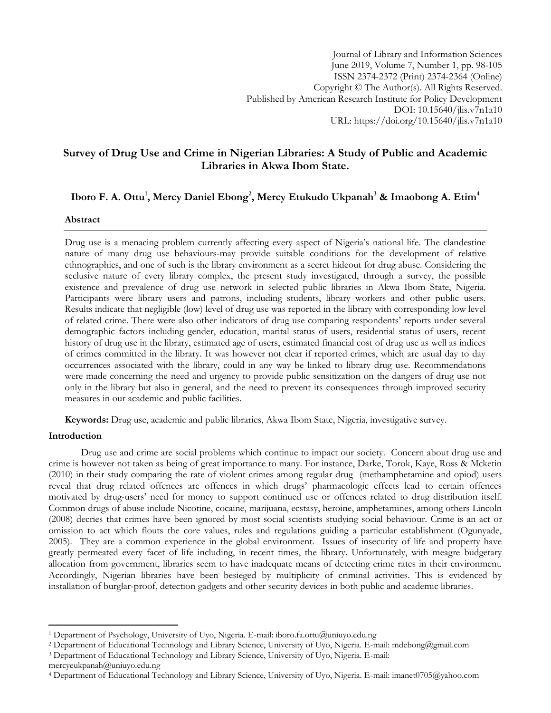Journal of Library and Information Sciences June 2019, Volume 7, Number 1, pp. 98-105 ISSN 2374-2372 (Print) 2374-2364 (Online) Copyright © The Author(s). All Rights Reserved. Published by American Research Institute for Policy Development DOI: 10.15640/jlis.v7n1a10 URL: https://doi.org/10.15640/jlis.v7n1a10

# **Survey of Drug Use and Crime in Nigerian Libraries: A Study of Public and Academic Libraries in Akwa Ibom State.**

# **Iboro F. A. Ottu<sup>1</sup> , Mercy Daniel Ebong<sup>2</sup> , Mercy Etukudo Ukpanah<sup>3</sup> & Imaobong A. Etim<sup>4</sup>**

## **Abstract**

Drug use is a menacing problem currently affecting every aspect of Nigeria's national life. The clandestine nature of many drug use behaviours-may provide suitable conditions for the development of relative ethnographies, and one of such is the library environment as a secret hideout for drug abuse. Considering the seclusive nature of every library complex, the present study investigated, through a survey, the possible existence and prevalence of drug use network in selected public libraries in Akwa Ibom State, Nigeria. Participants were library users and patrons, including students, library workers and other public users. Results indicate that negligible (low) level of drug use was reported in the library with corresponding low level of related crime. There were also other indicators of drug use comparing respondents" reports under several demographic factors including gender, education, marital status of users, residential status of users, recent history of drug use in the library, estimated age of users, estimated financial cost of drug use as well as indices of crimes committed in the library. It was however not clear if reported crimes, which are usual day to day occurrences associated with the library, could in any way be linked to library drug use. Recommendations were made concerning the need and urgency to provide public sensitization on the dangers of drug use not only in the library but also in general, and the need to prevent its consequences through improved security measures in our academic and public facilities.

**Keywords:** Drug use, academic and public libraries, Akwa Ibom State, Nigeria, investigative survey.

#### **Introduction**

 $\overline{a}$ 

Drug use and crime are social problems which continue to impact our society. Concern about drug use and crime is however not taken as being of great importance to many. For instance, Darke, Torok, Kaye, Ross & Mcketin (2010) in their study comparing the rate of violent crimes among regular drug (methamphetamine and opiod) users reveal that drug related offences are offences in which drugs" pharmacologic effects lead to certain offences motivated by drug-users" need for money to support continued use or offences related to drug distribution itself. Common drugs of abuse include Nicotine, cocaine, marijuana, ecstasy, heroine, amphetamines, among others Lincoln (2008) decries that crimes have been ignored by most social scientists studying social behaviour. Crime is an act or omission to act which flouts the core values, rules and regulations guiding a particular establishment (Ogunyade, 2005). They are a common experience in the global environment. Issues of insecurity of life and property have greatly permeated every facet of life including, in recent times, the library. Unfortunately, with meagre budgetary allocation from government, libraries seem to have inadequate means of detecting crime rates in their environment. Accordingly, Nigerian libraries have been besieged by multiplicity of criminal activities. This is evidenced by installation of burglar-proof, detection gadgets and other security devices in both public and academic libraries.

<sup>1</sup> Department of Psychology, University of Uyo, Nigeria. E-mail: iboro.fa.ottu@uniuyo.edu.ng

<sup>2</sup> Department of Educational Technology and Library Science, University of Uyo, Nigeria. E-mail: mdebong@gmail.com

<sup>3</sup> Department of Educational Technology and Library Science, University of Uyo, Nigeria. E-mail:

mercyeukpanah@uniuyo.edu.ng

<sup>4</sup> Department of Educational Technology and Library Science, University of Uyo, Nigeria. E-mail: imanet0705@yahoo.com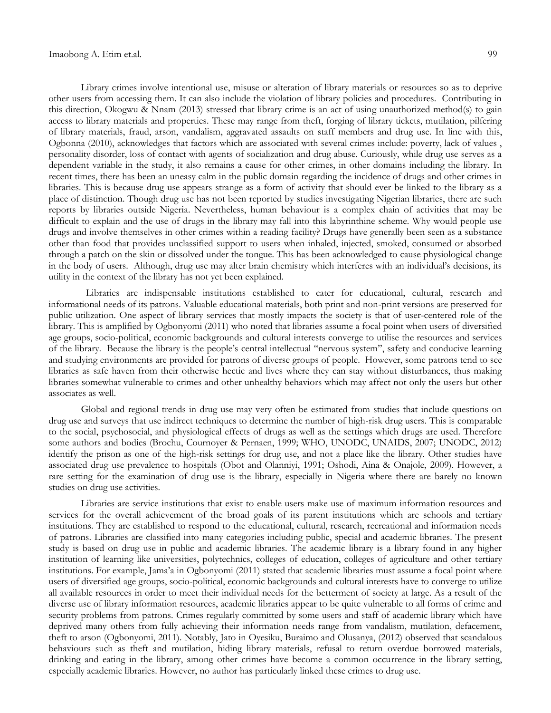Library crimes involve intentional use, misuse or alteration of library materials or resources so as to deprive other users from accessing them. It can also include the violation of library policies and procedures. Contributing in this direction, Okogwu & Nnam (2013) stressed that library crime is an act of using unauthorized method(s) to gain access to library materials and properties. These may range from theft, forging of library tickets, mutilation, pilfering of library materials, fraud, arson, vandalism, aggravated assaults on staff members and drug use. In line with this, Ogbonna (2010), acknowledges that factors which are associated with several crimes include: poverty, lack of values , personality disorder, loss of contact with agents of socialization and drug abuse. Curiously, while drug use serves as a dependent variable in the study, it also remains a cause for other crimes, in other domains including the library. In recent times, there has been an uneasy calm in the public domain regarding the incidence of drugs and other crimes in libraries. This is because drug use appears strange as a form of activity that should ever be linked to the library as a place of distinction. Though drug use has not been reported by studies investigating Nigerian libraries, there are such reports by libraries outside Nigeria. Nevertheless, human behaviour is a complex chain of activities that may be difficult to explain and the use of drugs in the library may fall into this labyrinthine scheme. Why would people use drugs and involve themselves in other crimes within a reading facility? Drugs have generally been seen as a substance other than food that provides unclassified support to users when inhaled, injected, smoked, consumed or absorbed through a patch on the skin or dissolved under the tongue. This has been acknowledged to cause physiological change in the body of users. Although, drug use may alter brain chemistry which interferes with an individual"s decisions, its utility in the context of the library has not yet been explained.

 Libraries are indispensable institutions established to cater for educational, cultural, research and informational needs of its patrons. Valuable educational materials, both print and non-print versions are preserved for public utilization. One aspect of library services that mostly impacts the society is that of user-centered role of the library. This is amplified by Ogbonyomi (2011) who noted that libraries assume a focal point when users of diversified age groups, socio-political, economic backgrounds and cultural interests converge to utilise the resources and services of the library. Because the library is the people"s central intellectual "nervous system", safety and conducive learning and studying environments are provided for patrons of diverse groups of people. However, some patrons tend to see libraries as safe haven from their otherwise hectic and lives where they can stay without disturbances, thus making libraries somewhat vulnerable to crimes and other unhealthy behaviors which may affect not only the users but other associates as well.

Global and regional trends in drug use may very often be estimated from studies that include questions on drug use and surveys that use indirect techniques to determine the number of high-risk drug users. This is comparable to the social, psychosocial, and physiological effects of drugs as well as the settings which drugs are used. Therefore some authors and bodies (Brochu, Cournoyer & Pernaen, 1999; WHO, UNODC, UNAIDS, 2007; UNODC, 2012) identify the prison as one of the high-risk settings for drug use, and not a place like the library. Other studies have associated drug use prevalence to hospitals (Obot and Olanniyi, 1991; Oshodi, Aina & Onajole, 2009). However, a rare setting for the examination of drug use is the library, especially in Nigeria where there are barely no known studies on drug use activities.

Libraries are service institutions that exist to enable users make use of maximum information resources and services for the overall achievement of the broad goals of its parent institutions which are schools and tertiary institutions. They are established to respond to the educational, cultural, research, recreational and information needs of patrons. Libraries are classified into many categories including public, special and academic libraries. The present study is based on drug use in public and academic libraries. The academic library is a library found in any higher institution of learning like universities, polytechnics, colleges of education, colleges of agriculture and other tertiary institutions. For example, Jama"a in Ogbonyomi (2011) stated that academic libraries must assume a focal point where users of diversified age groups, socio-political, economic backgrounds and cultural interests have to converge to utilize all available resources in order to meet their individual needs for the betterment of society at large. As a result of the diverse use of library information resources, academic libraries appear to be quite vulnerable to all forms of crime and security problems from patrons. Crimes regularly committed by some users and staff of academic library which have deprived many others from fully achieving their information needs range from vandalism, mutilation, defacement, theft to arson (Ogbonyomi, 2011). Notably, Jato in Oyesiku, Buraimo and Olusanya, (2012) observed that scandalous behaviours such as theft and mutilation, hiding library materials, refusal to return overdue borrowed materials, drinking and eating in the library, among other crimes have become a common occurrence in the library setting, especially academic libraries. However, no author has particularly linked these crimes to drug use.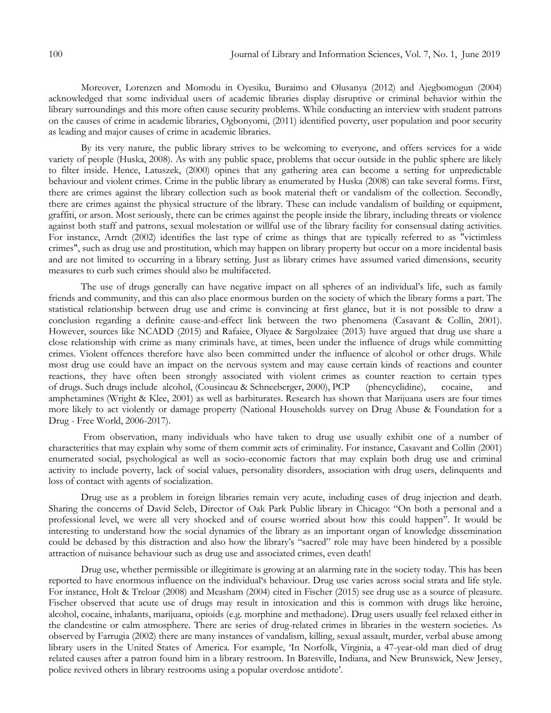Moreover, Lorenzen and Momodu in Oyesiku, Buraimo and Olusanya (2012) and Ajegbomogun (2004) acknowledged that some individual users of academic libraries display disruptive or criminal behavior within the library surroundings and this more often cause security problems. While conducting an interview with student patrons on the causes of crime in academic libraries, Ogbonyomi, (2011) identified poverty, user population and poor security as leading and major causes of crime in academic libraries.

By its very nature, the public library strives to be welcoming to everyone, and offers services for a wide variety of people (Huska, 2008). As with any public space, problems that occur outside in the public sphere are likely to filter inside. Hence, Latuszek, (2000) opines that any gathering area can become a setting for unpredictable behaviour and violent crimes. Crime in the public library as enumerated by Huska (2008) can take several forms. First, there are crimes against the library collection such as book material theft or vandalism of the collection. Secondly, there are crimes against the physical structure of the library. These can include vandalism of building or equipment, graffiti, or arson. Most seriously, there can be crimes against the people inside the library, including threats or violence against both staff and patrons, sexual molestation or willful use of the library facility for consensual dating activities. For instance, Arndt (2002) identifies the last type of crime as things that are typically referred to as "victimless crimes", such as drug use and prostitution, which may happen on library property but occur on a more incidental basis and are not limited to occurring in a library setting. Just as library crimes have assumed varied dimensions, security measures to curb such crimes should also be multifaceted.

The use of drugs generally can have negative impact on all spheres of an individual"s life, such as family friends and community, and this can also place enormous burden on the society of which the library forms a part. The statistical relationship between drug use and crime is convincing at first glance, but it is not possible to draw a conclusion regarding a definite cause-and-effect link between the two phenomena (Casavant & Collin, 2001). However, sources like NCADD (2015) and Rafaiee, Olyaee & Sargolzaiee (2013) have argued that drug use share a close relationship with crime as many criminals have, at times, been under the influence of drugs while committing crimes. Violent offences therefore have also been committed under the influence of alcohol or other drugs. While most drug use could have an impact on the nervous system and may cause certain kinds of reactions and counter reactions, they have often been strongly associated with violent crimes as counter reaction to certain types of drugs. Such drugs include alcohol, (Cousineau & Schneeberger, 2000), PCP (phencyclidine), cocaine, and amphetamines (Wright & Klee, 2001) as well as barbiturates. Research has shown that Marijuana users are four times more likely to act violently or damage property (National Households survey on Drug Abuse & Foundation for a Drug - Free World, 2006-2017).

From observation, many individuals who have taken to drug use usually exhibit one of a number of characteritics that may explain why some of them commit acts of criminality. For instance, Casavant and Collin (2001) enumerated social, psychological as well as socio-economic factors that may explain both drug use and criminal activity to include poverty, lack of social values, personality disorders, association with drug users, delinquents and loss of contact with agents of socialization.

Drug use as a problem in foreign libraries remain very acute, including cases of drug injection and death. Sharing the concerns of David Seleb, Director of Oak Park Public library in Chicago: "On both a personal and a professional level, we were all very shocked and of course worried about how this could happen". It would be interesting to understand how the social dynamics of the library as an important organ of knowledge dissemination could be debased by this distraction and also how the library's "sacred" role may have been hindered by a possible attraction of nuisance behaviour such as drug use and associated crimes, even death!

Drug use, whether permissible or illegitimate is growing at an alarming rate in the society today. This has been reported to have enormous influence on the individual"s behaviour. Drug use varies across social strata and life style. For instance, Holt & Treloar (2008) and Measham (2004) cited in Fischer (2015) see drug use as a source of pleasure. Fischer observed that acute use of drugs may result in intoxication and this is common with drugs like heroine, alcohol, cocaine, inhalants, marijuana, opioids (e.g. morphine and methadone). Drug users usually feel relaxed either in the clandestine or calm atmosphere. There are series of drug-related crimes in libraries in the western societies. As observed by Farrugia (2002) there are many instances of vandalism, killing, sexual assault, murder, verbal abuse among library users in the United States of America. For example, "In Norfolk, Virginia, a 47-year-old man died of drug related causes after a patron found him in a library restroom. In Batesville, Indiana, and New Brunswick, New Jersey, police revived others in library restrooms using a popular overdose antidote".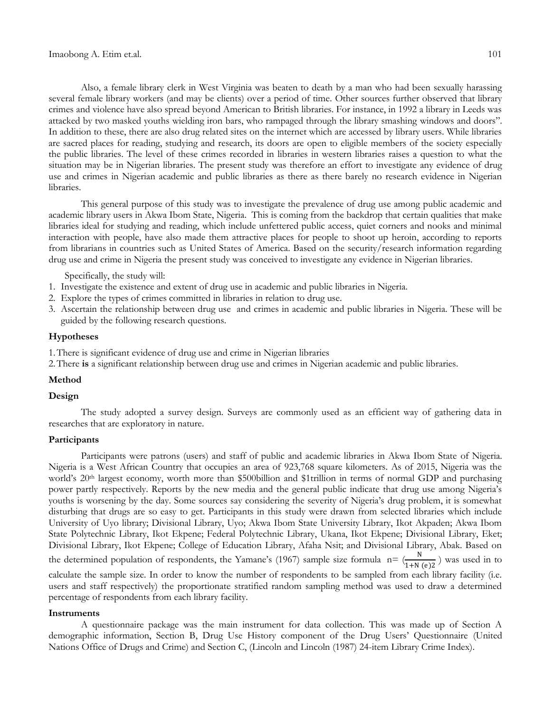Also, a female library clerk in West Virginia was beaten to death by a man who had been sexually harassing several female library workers (and may be clients) over a period of time. Other sources further observed that library crimes and violence have also spread beyond American to British libraries. For instance, in 1992 a library in Leeds was attacked by two masked youths wielding iron bars, who rampaged through the library smashing windows and doors". In addition to these, there are also drug related sites on the internet which are accessed by library users. While libraries are sacred places for reading, studying and research, its doors are open to eligible members of the society especially the public libraries. The level of these crimes recorded in libraries in western libraries raises a question to what the situation may be in Nigerian libraries. The present study was therefore an effort to investigate any evidence of drug use and crimes in Nigerian academic and public libraries as there as there barely no research evidence in Nigerian libraries.

This general purpose of this study was to investigate the prevalence of drug use among public academic and academic library users in Akwa Ibom State, Nigeria. This is coming from the backdrop that certain qualities that make libraries ideal for studying and reading, which include unfettered public access, quiet corners and nooks and minimal interaction with people, have also made them attractive places for people to shoot up heroin, according to reports from librarians in countries such as United States of America. Based on the security/research information regarding drug use and crime in Nigeria the present study was conceived to investigate any evidence in Nigerian libraries.

Specifically, the study will:

- 1. Investigate the existence and extent of drug use in academic and public libraries in Nigeria.
- 2. Explore the types of crimes committed in libraries in relation to drug use.
- 3. Ascertain the relationship between drug use and crimes in academic and public libraries in Nigeria. These will be guided by the following research questions.

## **Hypotheses**

1.There is significant evidence of drug use and crime in Nigerian libraries

2.There **is** a significant relationship between drug use and crimes in Nigerian academic and public libraries.

### **Method**

#### **Design**

The study adopted a survey design. Surveys are commonly used as an efficient way of gathering data in researches that are exploratory in nature.

#### **Participants**

Participants were patrons (users) and staff of public and academic libraries in Akwa Ibom State of Nigeria. Nigeria is a West African Country that occupies an area of 923,768 square kilometers. As of 2015, Nigeria was the world"s 20th largest economy, worth more than \$500billion and \$1trillion in terms of normal GDP and purchasing power partly respectively. Reports by the new media and the general public indicate that drug use among Nigeria"s youths is worsening by the day. Some sources say considering the severity of Nigeria"s drug problem, it is somewhat disturbing that drugs are so easy to get. Participants in this study were drawn from selected libraries which include University of Uyo library; Divisional Library, Uyo; Akwa Ibom State University Library, Ikot Akpaden; Akwa Ibom State Polytechnic Library, Ikot Ekpene; Federal Polytechnic Library, Ukana, Ikot Ekpene; Divisional Library, Eket; Divisional Library, Ikot Ekpene; College of Education Library, Afaha Nsit; and Divisional Library, Abak. Based on the determined population of respondents, the Yamane's (1967) sample size formula  $n = \frac{N}{1+N (e)2}$ ) was used in to calculate the sample size. In order to know the number of respondents to be sampled from each library facility (i.e. users and staff respectively) the proportionate stratified random sampling method was used to draw a determined percentage of respondents from each library facility.

### **Instruments**

A questionnaire package was the main instrument for data collection. This was made up of Section A demographic information, Section B, Drug Use History component of the Drug Users" Questionnaire (United Nations Office of Drugs and Crime) and Section C, (Lincoln and Lincoln (1987) 24-item Library Crime Index).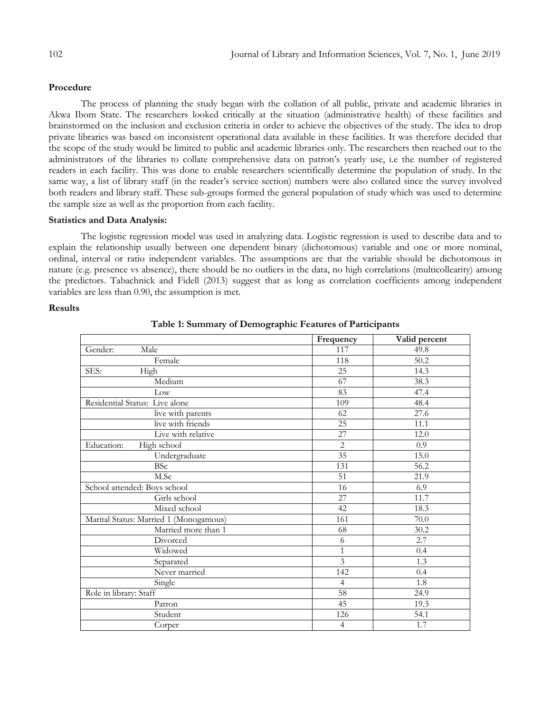# **Procedure**

The process of planning the study began with the collation of all public, private and academic libraries in Akwa Ibom State. The researchers looked critically at the situation (administrative health) of these facilities and brainstormed on the inclusion and exclusion criteria in order to achieve the objectives of the study. The idea to drop private libraries was based on inconsistent operational data available in these facilities. It was therefore decided that the scope of the study would be limited to public and academic libraries only. The researchers then reached out to the administrators of the libraries to collate comprehensive data on patron"s yearly use, i.e the number of registered readers in each facility. This was done to enable researchers scientifically determine the population of study. In the same way, a list of library staff (in the reader's service section) numbers were also collated since the survey involved both readers and library staff. These sub-groups formed the general population of study which was used to determine the sample size as well as the proportion from each facility.

# **Statistics and Data Analysis:**

The logistic regression model was used in analyzing data. Logistic regression is used to describe data and to explain the relationship usually between one dependent binary (dichotomous) variable and one or more nominal, ordinal, interval or ratio independent variables. The assumptions are that the variable should be dichotomous in nature (e.g. presence vs absence), there should be no outliers in the data, no high correlations (multicollearity) among the predictors. Tabachnick and Fidell (2013) suggest that as long as correlation coefficients among independent variables are less than 0.90, the assumption is met.

# **Results**

|                                        | Frequency               | Valid percent     |
|----------------------------------------|-------------------------|-------------------|
| Male<br>Gender:                        | 117                     | 49.8              |
| Female                                 | 118                     | $\overline{50.2}$ |
| SES:<br>High                           | 25                      | 14.3              |
| Medium                                 | 67                      | 38.3              |
| Low                                    | 83                      | 47.4              |
| Residential Status: Live alone         | 109                     | 48.4              |
| live with parents                      | 62                      | 27.6              |
| live with friends                      | $\overline{25}$         | 11.1              |
| Live with relative                     | $\overline{27}$         | 12.0              |
| Education:<br>High school              | $\overline{c}$          | 0.9               |
| Undergraduate                          | $\overline{35}$         | 15.0              |
| <b>BSc</b>                             | 131                     | 56.2              |
| M.Sc                                   | 51                      | 21.9              |
| School attended: Boys school           | 16                      | 6.9               |
| Girls school                           | 27                      | 11.7              |
| Mixed school                           | 42                      | 18.3              |
| Marital Status: Married 1 (Monogamous) | 161                     | $\overline{70.0}$ |
| Married more than 1                    | 68                      | 30.2              |
| Divorced                               | 6                       | 2.7               |
| Widowed                                | $\mathbf{1}$            | 0.4               |
| Separated                              | $\overline{\mathbf{3}}$ | 1.3               |
| Never married                          | 142                     | 0.4               |
| Single                                 | $\overline{4}$          | 1.8               |
| Role in library: Staff                 | 58                      | 24.9              |
| Patron                                 | 45                      | 19.3              |
| Student                                | 126                     | 54.1              |
| Corper                                 | $\overline{4}$          | 1.7               |

**Table 1: Summary of Demographic Features of Participants**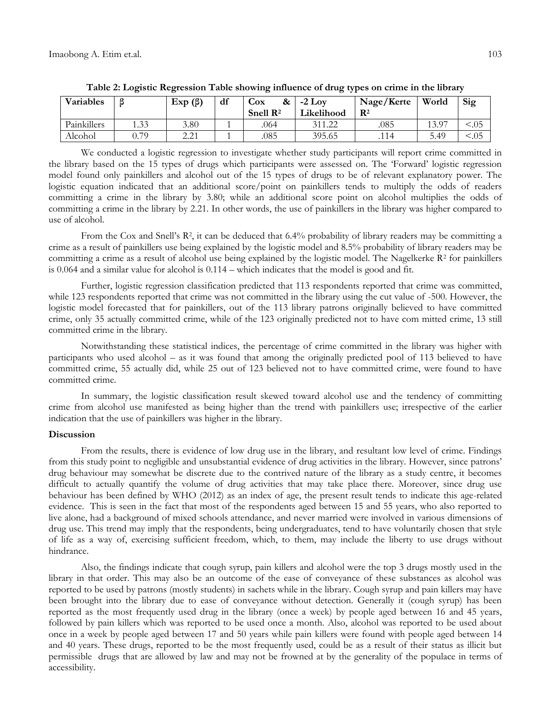| Variables   |      | Exp(β)                                                 | df | Cox<br>&<br>Snell $\mathbb{R}^2$ | $-2$ Lov<br>Likelihood | Nage/Kerte<br>$\mathbf{R}^2$ | World | Sig    |
|-------------|------|--------------------------------------------------------|----|----------------------------------|------------------------|------------------------------|-------|--------|
| Painkillers | 1.33 | 3.80                                                   |    | .064                             | 311.22                 | .085                         | 13.97 | < 0.05 |
| Alcohol     | 0.79 | $\Omega$ $\Omega$ 1<br>$\overline{a}$ . $\overline{a}$ |    | .085                             | 395.65                 | .114                         | 5.49  | < 0.05 |

**Table 2: Logistic Regression Table showing influence of drug types on crime in the library**

We conducted a logistic regression to investigate whether study participants will report crime committed in the library based on the 15 types of drugs which participants were assessed on. The "Forward" logistic regression model found only painkillers and alcohol out of the 15 types of drugs to be of relevant explanatory power. The logistic equation indicated that an additional score/point on painkillers tends to multiply the odds of readers committing a crime in the library by 3.80; while an additional score point on alcohol multiplies the odds of committing a crime in the library by 2.21. In other words, the use of painkillers in the library was higher compared to use of alcohol.

From the Cox and Snell's R<sup>2</sup>, it can be deduced that 6.4% probability of library readers may be committing a crime as a result of painkillers use being explained by the logistic model and 8.5% probability of library readers may be committing a crime as a result of alcohol use being explained by the logistic model. The Nagelkerke  $R^2$  for painkillers is 0.064 and a similar value for alcohol is 0.114 – which indicates that the model is good and fit.

Further, logistic regression classification predicted that 113 respondents reported that crime was committed, while 123 respondents reported that crime was not committed in the library using the cut value of -500. However, the logistic model forecasted that for painkillers, out of the 113 library patrons originally believed to have committed crime, only 35 actually committed crime, while of the 123 originally predicted not to have com mitted crime, 13 still committed crime in the library.

Notwithstanding these statistical indices, the percentage of crime committed in the library was higher with participants who used alcohol – as it was found that among the originally predicted pool of 113 believed to have committed crime, 55 actually did, while 25 out of 123 believed not to have committed crime, were found to have committed crime.

In summary, the logistic classification result skewed toward alcohol use and the tendency of committing crime from alcohol use manifested as being higher than the trend with painkillers use; irrespective of the earlier indication that the use of painkillers was higher in the library.

#### **Discussion**

From the results, there is evidence of low drug use in the library, and resultant low level of crime. Findings from this study point to negligible and unsubstantial evidence of drug activities in the library. However, since patrons" drug behaviour may somewhat be discrete due to the contrived nature of the library as a study centre, it becomes difficult to actually quantify the volume of drug activities that may take place there. Moreover, since drug use behaviour has been defined by WHO (2012) as an index of age, the present result tends to indicate this age-related evidence. This is seen in the fact that most of the respondents aged between 15 and 55 years, who also reported to live alone, had a background of mixed schools attendance, and never married were involved in various dimensions of drug use. This trend may imply that the respondents, being undergraduates, tend to have voluntarily chosen that style of life as a way of, exercising sufficient freedom, which, to them, may include the liberty to use drugs without hindrance.

Also, the findings indicate that cough syrup, pain killers and alcohol were the top 3 drugs mostly used in the library in that order. This may also be an outcome of the ease of conveyance of these substances as alcohol was reported to be used by patrons (mostly students) in sachets while in the library. Cough syrup and pain killers may have been brought into the library due to ease of conveyance without detection. Generally it (cough syrup) has been reported as the most frequently used drug in the library (once a week) by people aged between 16 and 45 years, followed by pain killers which was reported to be used once a month. Also, alcohol was reported to be used about once in a week by people aged between 17 and 50 years while pain killers were found with people aged between 14 and 40 years. These drugs, reported to be the most frequently used, could be as a result of their status as illicit but permissible drugs that are allowed by law and may not be frowned at by the generality of the populace in terms of accessibility.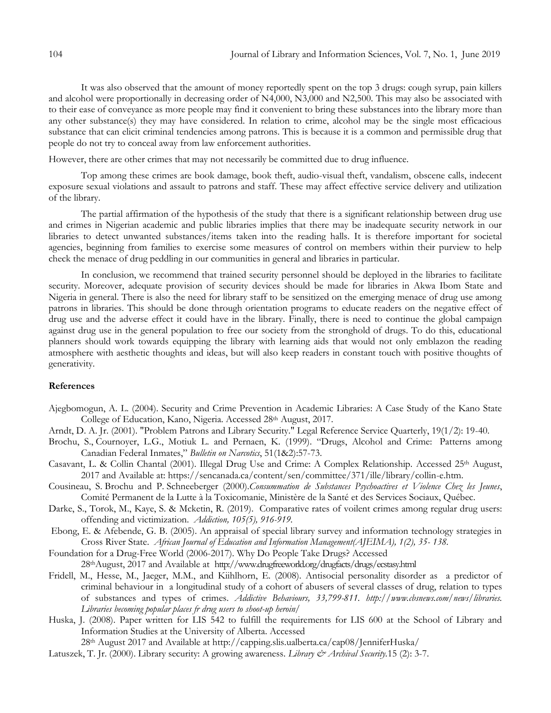It was also observed that the amount of money reportedly spent on the top 3 drugs: cough syrup, pain killers and alcohol were proportionally in decreasing order of N4,000, N3,000 and N2,500. This may also be associated with to their ease of conveyance as more people may find it convenient to bring these substances into the library more than any other substance(s) they may have considered. In relation to crime, alcohol may be the single most efficacious substance that can elicit criminal tendencies among patrons. This is because it is a common and permissible drug that people do not try to conceal away from law enforcement authorities.

However, there are other crimes that may not necessarily be committed due to drug influence.

Top among these crimes are book damage, book theft, audio-visual theft, vandalism, obscene calls, indecent exposure sexual violations and assault to patrons and staff. These may affect effective service delivery and utilization of the library.

The partial affirmation of the hypothesis of the study that there is a significant relationship between drug use and crimes in Nigerian academic and public libraries implies that there may be inadequate security network in our libraries to detect unwanted substances/items taken into the reading halls. It is therefore important for societal agencies, beginning from families to exercise some measures of control on members within their purview to help check the menace of drug peddling in our communities in general and libraries in particular.

In conclusion, we recommend that trained security personnel should be deployed in the libraries to facilitate security. Moreover, adequate provision of security devices should be made for libraries in Akwa Ibom State and Nigeria in general. There is also the need for library staff to be sensitized on the emerging menace of drug use among patrons in libraries. This should be done through orientation programs to educate readers on the negative effect of drug use and the adverse effect it could have in the library. Finally, there is need to continue the global campaign against drug use in the general population to free our society from the stronghold of drugs. To do this, educational planners should work towards equipping the library with learning aids that would not only emblazon the reading atmosphere with aesthetic thoughts and ideas, but will also keep readers in constant touch with positive thoughts of generativity.

## **References**

- Ajegbomogun, A. L. (2004). Security and Crime Prevention in Academic Libraries: A Case Study of the Kano State College of Education, Kano, Nigeria. Accessed 28<sup>th</sup> August, 2017.
- Arndt, D. A. Jr. (2001). "Problem Patrons and Library Security." Legal Reference Service Quarterly, 19(1/2): 19-40.
- Brochu, S., Cournoyer, L.G., Motiuk L. and Pernaen, K. (1999). "Drugs, Alcohol and Crime: Patterns among Canadian Federal Inmates," *Bulletin on Narcotics*, 51(1&2):57-73.
- Casavant, L. & Collin Chantal (2001). Illegal Drug Use and Crime: A Complex Relationship. Accessed 25th August, 2017 and Available at: [https://sencanada.ca/content/sen/committee/371/ille/library/collin-e.htm.](https://sencanada.ca/content/sen/committee/371/ille/library/collin-e.htm)
- Cousineau, S. Brochu and P. Schneeberger (2000).*Consummation de Substances Psychoactives et Violence Chez les Jeunes*, Comité Permanent de la Lutte à la Toxicomanie, Ministère de la Santé et des Services Sociaux, Québec.
- Darke, S., Torok, M., Kaye, S. & Mcketin, R. (2019). Comparative rates of voilent crimes among regular drug users: offending and victimization. *Addiction, 105(5), 916-919.*
- Ebong, E. & Afebende, G. B. (2005). An appraisal of special library survey and information technology strategies in Cross River State. *African Journal of Education and Information Management(AJEIMA), 1(2), 35- 138.*
- Foundation for a Drug-Free World (2006-2017). Why Do People Take Drugs? Accessed 28thAugust, 2017 and Available at <http://www.drugfreeworld.org/drugfacts/drugs/ecstasy.html>
- Fridell, M., Hesse, M., Jaeger, M.M., and Kiihlhorn, E. (2008). Antisocial personality disorder as a predictor of criminal behaviour in a longitudinal study of a cohort of abusers of several classes of drug, relation to types of substances and types of crimes. *Addictive Behaviours, 33,799-811. http://www.cbsnews.com/news/libraries. Libraries becoming popular places fr drug users to shoot-up heroin/*
- Huska, J. (2008). Paper written for LIS 542 to fulfill the requirements for LIS 600 at the School of Library and Information Studies at the University of Alberta. Accessed

28th August 2017 and Available at <http://capping.slis.ualberta.ca/cap08/JenniferHuska/>

Latuszek, T. Jr. (2000). Library security: A growing awareness. *Library & Archival Security.*15 (2): 3-7.